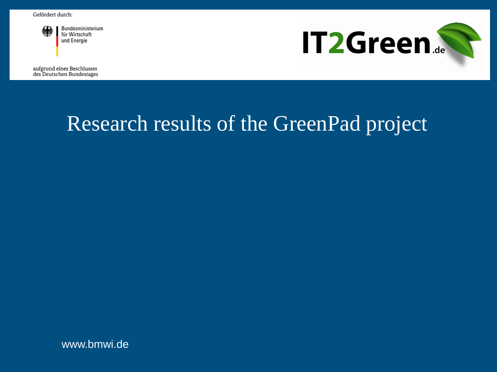

Bundesministerium für Wirtschaft und Energie

**IT2Green.** 

aufgrund eines Beschlusses des Deutschen Bundestages

# Research results of the GreenPad project

www.bmwi.de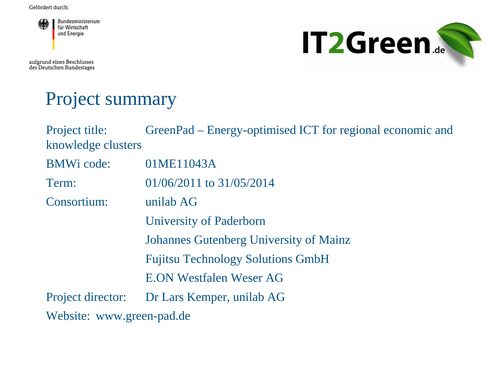

aufgrund eines Beschlusses<br>des Deutschen Bundestages



#### Project summary

| Project title:<br>knowledge clusters | GreenPad – Energy-optimised ICT for regional economic and |
|--------------------------------------|-----------------------------------------------------------|
| <b>BMWi</b> code:                    | 01ME11043A                                                |
| Term:                                | $01/06/2011$ to $31/05/2014$                              |
| Consortium:                          | unilab AG                                                 |
|                                      | <b>University of Paderborn</b>                            |
|                                      | <b>Johannes Gutenberg University of Mainz</b>             |
|                                      | <b>Fujitsu Technology Solutions GmbH</b>                  |
|                                      | <b>E.ON Westfalen Weser AG</b>                            |
| Project director:                    | Dr Lars Kemper, unilab AG                                 |
| Website: www.green-pad.de            |                                                           |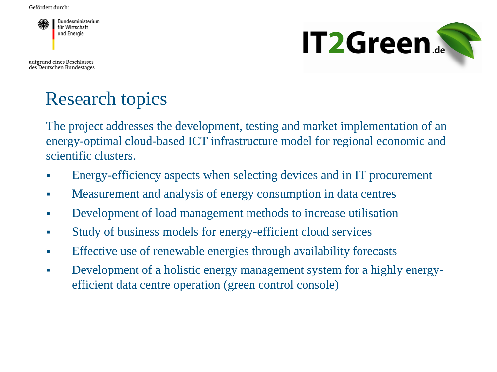

aufgrund eines Beschlusses des Deutschen Bundestages



## Research topics

The project addresses the development, testing and market implementation of an energy-optimal cloud-based ICT infrastructure model for regional economic and scientific clusters.

- Energy-efficiency aspects when selecting devices and in IT procurement
- **Measurement and analysis of energy consumption in data centres**
- **•** Development of load management methods to increase utilisation
- Study of business models for energy-efficient cloud services
- **Effective use of renewable energies through availability forecasts**
- Development of a holistic energy management system for a highly energyefficient data centre operation (green control console)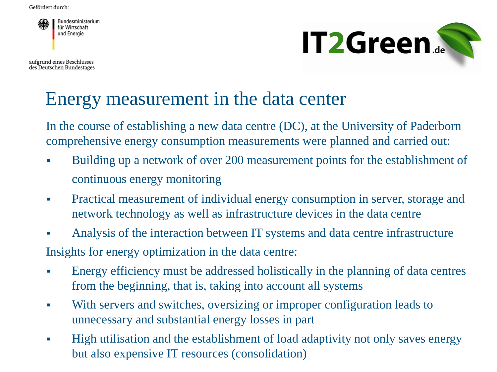

aufgrund eines Beschlusses des Deutschen Bundestages



#### Energy measurement in the data center

In the course of establishing a new data centre (DC), at the University of Paderborn comprehensive energy consumption measurements were planned and carried out:

- Building up a network of over 200 measurement points for the establishment of continuous energy monitoring
- Practical measurement of individual energy consumption in server, storage and network technology as well as infrastructure devices in the data centre
- Analysis of the interaction between IT systems and data centre infrastructure Insights for energy optimization in the data centre:
- Energy efficiency must be addressed holistically in the planning of data centres from the beginning, that is, taking into account all systems
- With servers and switches, oversizing or improper configuration leads to unnecessary and substantial energy losses in part
- High utilisation and the establishment of load adaptivity not only saves energy but also expensive IT resources (consolidation)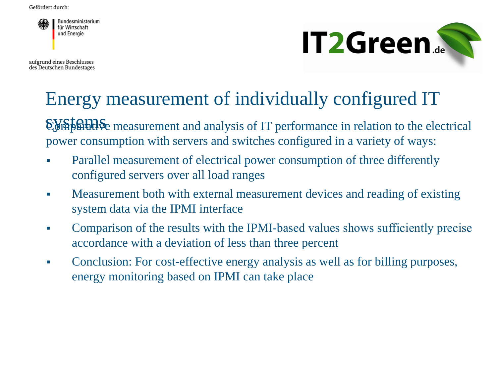

aufgrund eines Beschlusses des Deutschen Bundestages



## Energy measurement of individually configured IT

systems Comparative measurement and analysis of IT performance in relation to the electrical power consumption with servers and switches configured in a variety of ways:

- Parallel measurement of electrical power consumption of three differently configured servers over all load ranges
- Measurement both with external measurement devices and reading of existing system data via the IPMI interface
- Comparison of the results with the IPMI-based values shows sufficiently precise accordance with a deviation of less than three percent
- Conclusion: For cost-effective energy analysis as well as for billing purposes, energy monitoring based on IPMI can take place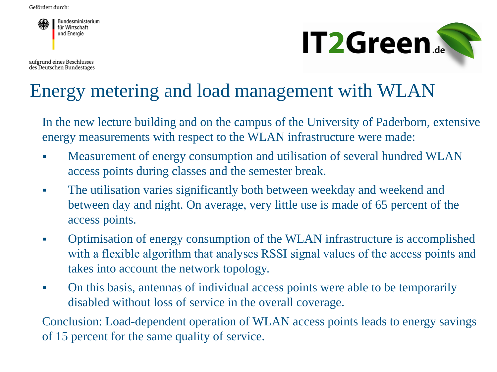

aufgrund eines Beschlusses des Deutschen Bundestages



#### Energy metering and load management with WLAN

In the new lecture building and on the campus of the University of Paderborn, extensive energy measurements with respect to the WLAN infrastructure were made:

- Measurement of energy consumption and utilisation of several hundred WLAN access points during classes and the semester break.
- The utilisation varies significantly both between weekday and weekend and between day and night. On average, very little use is made of 65 percent of the access points.
- Optimisation of energy consumption of the WLAN infrastructure is accomplished with a flexible algorithm that analyses RSSI signal values of the access points and takes into account the network topology.
- On this basis, antennas of individual access points were able to be temporarily disabled without loss of service in the overall coverage.

Conclusion: Load-dependent operation of WLAN access points leads to energy savings of 15 percent for the same quality of service.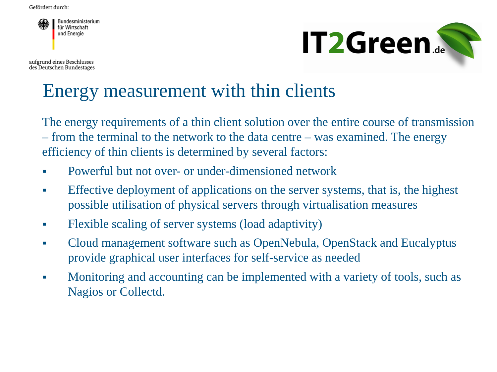

**IT2Green.** 

aufgrund eines Beschlusses des Deutschen Bundestages

## Energy measurement with thin clients

The energy requirements of a thin client solution over the entire course of transmission – from the terminal to the network to the data centre – was examined. The energy efficiency of thin clients is determined by several factors:

- **Powerful but not over- or under-dimensioned network**
- Effective deployment of applications on the server systems, that is, the highest possible utilisation of physical servers through virtualisation measures
- Flexible scaling of server systems (load adaptivity)
- Cloud management software such as OpenNebula, OpenStack and Eucalyptus provide graphical user interfaces for self-service as needed
- Monitoring and accounting can be implemented with a variety of tools, such as Nagios or Collectd.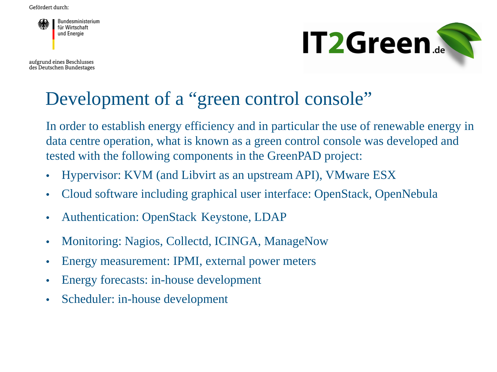

aufgrund eines Beschlusses des Deutschen Bundestages



#### Development of a "green control console"

In order to establish energy efficiency and in particular the use of renewable energy in data centre operation, what is known as a green control console was developed and tested with the following components in the GreenPAD project:

- Hypervisor: KVM (and Libvirt as an upstream API), VMware ESX
- Cloud software including graphical user interface: OpenStack, OpenNebula
- Authentication: OpenStack Keystone, LDAP
- Monitoring: Nagios, Collectd, ICINGA, ManageNow
- Energy measurement: IPMI, external power meters
- Energy forecasts: in-house development
- Scheduler: in-house development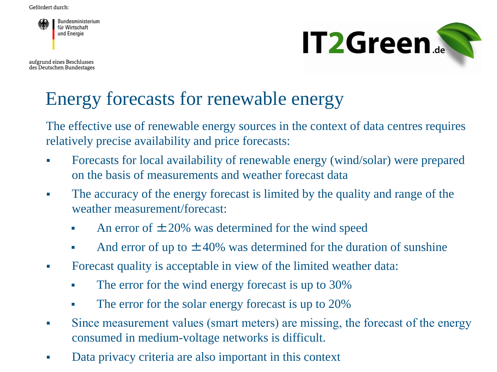

aufgrund eines Beschlusses des Deutschen Bundestages



#### Energy forecasts for renewable energy

The effective use of renewable energy sources in the context of data centres requires relatively precise availability and price forecasts:

- Forecasts for local availability of renewable energy (wind/solar) were prepared on the basis of measurements and weather forecast data
- The accuracy of the energy forecast is limited by the quality and range of the weather measurement/forecast:
	- An error of  $\pm 20\%$  was determined for the wind speed
	- And error of up to  $\pm 40\%$  was determined for the duration of sunshine
- Forecast quality is acceptable in view of the limited weather data:
	- The error for the wind energy forecast is up to 30%
	- The error for the solar energy forecast is up to 20%
- Since measurement values (smart meters) are missing, the forecast of the energy consumed in medium-voltage networks is difficult.
- Data privacy criteria are also important in this context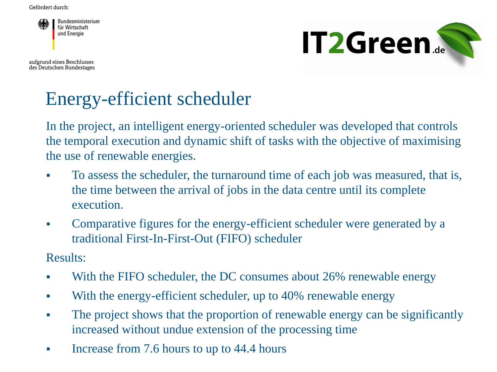

aufgrund eines Beschlusses des Deutschen Bundestages



# Energy-efficient scheduler

In the project, an intelligent energy-oriented scheduler was developed that controls the temporal execution and dynamic shift of tasks with the objective of maximising the use of renewable energies.

- To assess the scheduler, the turnaround time of each job was measured, that is, the time between the arrival of jobs in the data centre until its complete execution.
- Comparative figures for the energy-efficient scheduler were generated by a traditional First-In-First-Out (FIFO) scheduler

Results:

- With the FIFO scheduler, the DC consumes about 26% renewable energy
- With the energy-efficient scheduler, up to 40% renewable energy
- The project shows that the proportion of renewable energy can be significantly increased without undue extension of the processing time
- Increase from 7.6 hours to up to 44.4 hours